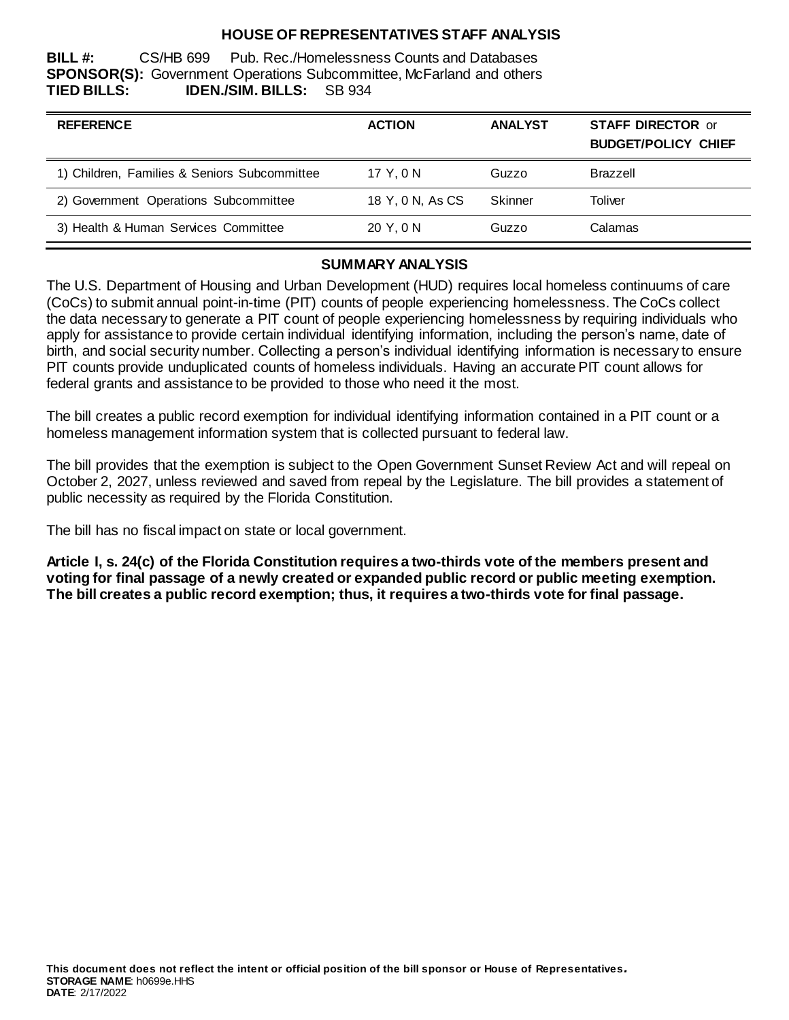## **HOUSE OF REPRESENTATIVES STAFF ANALYSIS**

**BILL #:** CS/HB 699 Pub. Rec./Homelessness Counts and Databases **SPONSOR(S):** Government Operations Subcommittee, McFarland and others **TIED BILLS: IDEN./SIM. BILLS:** SB 934

| <b>REFERENCE</b>                             | <b>ACTION</b>    | <b>ANALYST</b> | <b>STAFF DIRECTOR or</b><br><b>BUDGET/POLICY CHIEF</b> |
|----------------------------------------------|------------------|----------------|--------------------------------------------------------|
| 1) Children, Families & Seniors Subcommittee | 17 Y.ON          | Guzzo          | <b>Brazzell</b>                                        |
| 2) Government Operations Subcommittee        | 18 Y, 0 N, As CS | Skinner        | Toliver                                                |
| 3) Health & Human Services Committee         | 20 Y.ON          | Guzzo          | Calamas                                                |

#### **SUMMARY ANALYSIS**

The U.S. Department of Housing and Urban Development (HUD) requires local homeless continuums of care (CoCs) to submit annual point-in-time (PIT) counts of people experiencing homelessness. The CoCs collect the data necessary to generate a PIT count of people experiencing homelessness by requiring individuals who apply for assistance to provide certain individual identifying information, including the person's name, date of birth, and social security number. Collecting a person's individual identifying information is necessary to ensure PIT counts provide unduplicated counts of homeless individuals. Having an accurate PIT count allows for federal grants and assistance to be provided to those who need it the most.

The bill creates a public record exemption for individual identifying information contained in a PIT count or a homeless management information system that is collected pursuant to federal law.

The bill provides that the exemption is subject to the Open Government Sunset Review Act and will repeal on October 2, 2027, unless reviewed and saved from repeal by the Legislature. The bill provides a statement of public necessity as required by the Florida Constitution.

The bill has no fiscal impact on state or local government.

**Article I, s. 24(c) of the Florida Constitution requires a two-thirds vote of the members present and voting for final passage of a newly created or expanded public record or public meeting exemption. The bill creates a public record exemption; thus, it requires a two-thirds vote for final passage.**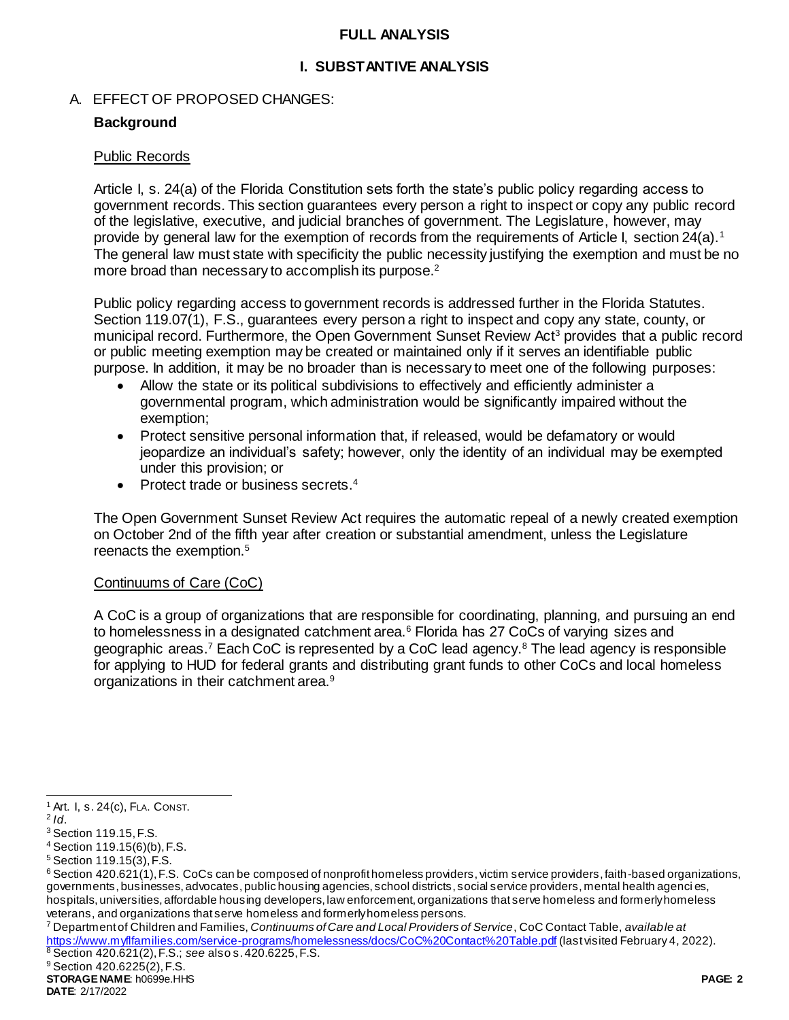## **FULL ANALYSIS**

## **I. SUBSTANTIVE ANALYSIS**

## A. EFFECT OF PROPOSED CHANGES:

## **Background**

### Public Records

Article I, s. 24(a) of the Florida Constitution sets forth the state's public policy regarding access to government records. This section guarantees every person a right to inspect or copy any public record of the legislative, executive, and judicial branches of government. The Legislature, however, may provide by general law for the exemption of records from the requirements of Article I, section 24(a).<sup>1</sup> The general law must state with specificity the public necessity justifying the exemption and must be no more broad than necessary to accomplish its purpose.<sup>2</sup>

Public policy regarding access to government records is addressed further in the Florida Statutes. Section 119.07(1), F.S., guarantees every person a right to inspect and copy any state, county, or municipal record. Furthermore, the Open Government Sunset Review Act<sup>3</sup> provides that a public record or public meeting exemption may be created or maintained only if it serves an identifiable public purpose. In addition, it may be no broader than is necessary to meet one of the following purposes:

- Allow the state or its political subdivisions to effectively and efficiently administer a governmental program, which administration would be significantly impaired without the exemption;
- Protect sensitive personal information that, if released, would be defamatory or would jeopardize an individual's safety; however, only the identity of an individual may be exempted under this provision; or
- Protect trade or business secrets.<sup>4</sup>

The Open Government Sunset Review Act requires the automatic repeal of a newly created exemption on October 2nd of the fifth year after creation or substantial amendment, unless the Legislature reenacts the exemption.<sup>5</sup>

## Continuums of Care (CoC)

A CoC is a group of organizations that are responsible for coordinating, planning, and pursuing an end to homelessness in a designated catchment area.<sup>6</sup> Florida has 27 CoCs of varying sizes and geographic areas.<sup>7</sup> Each CoC is represented by a CoC lead agency. $8$  The lead agency is responsible for applying to HUD for federal grants and distributing grant funds to other CoCs and local homeless organizations in their catchment area.<sup>9</sup>

l

<sup>7</sup> Department of Children and Families, *Continuums of Care and Local Providers of Service*, CoC Contact Table, *available at* <https://www.myflfamilies.com/service-programs/homelessness/docs/CoC%20Contact%20Table.pdf> (last visited February 4, 2022). <sup>8</sup> Section 420.621(2), F.S.; *see* also s. 420.6225, F.S.

<sup>1</sup> Art. I, s. 24(c), FLA. CONST.

<sup>2</sup> *Id*.

<sup>3</sup> Section 119.15, F.S.

<sup>4</sup> Section 119.15(6)(b), F.S.

<sup>5</sup> Section 119.15(3), F.S.

 $6$  Section 420.621(1), F.S. CoCs can be composed of nonprofit homeless providers, victim service providers, faith-based organizations, governments, businesses, advocates, public housing agencies, school districts, social service providers, mental health agenci es, hospitals, universities, affordable housing developers, law enforcement, organizations that serve homeless and formerly homeless veterans, and organizations that serve homeless and formerly homeless persons.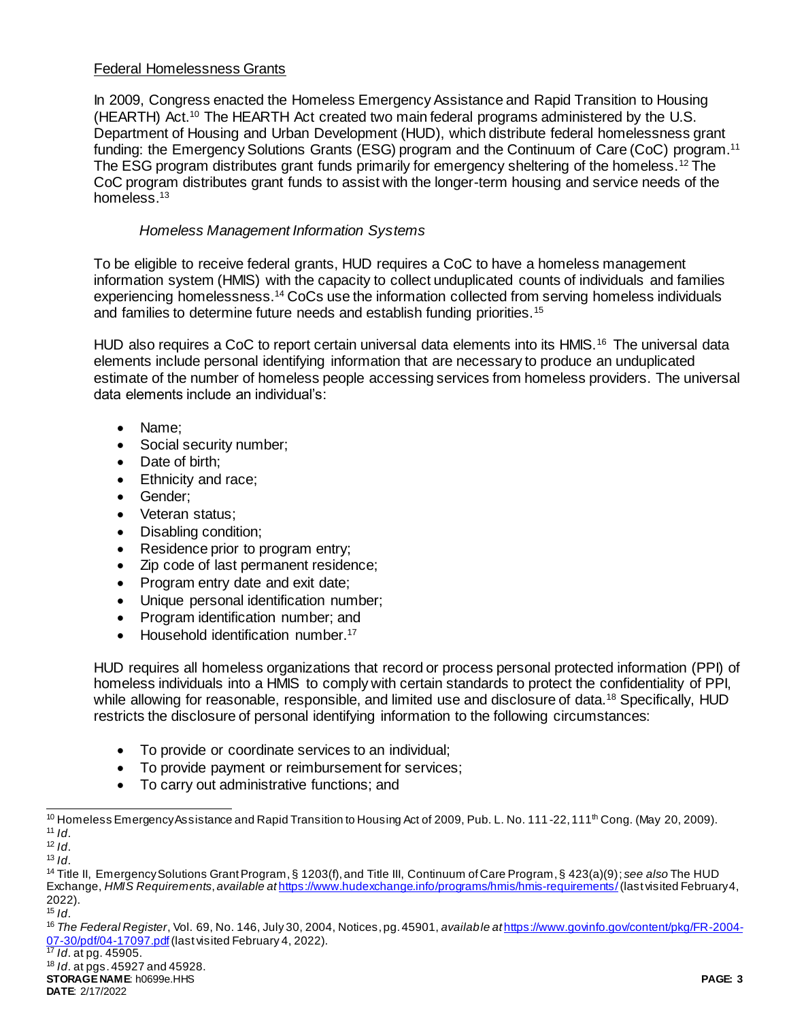## Federal Homelessness Grants

In 2009, Congress enacted the Homeless Emergency Assistance and Rapid Transition to Housing (HEARTH) Act.<sup>10</sup> The HEARTH Act created two main federal programs administered by the U.S. Department of Housing and Urban Development (HUD), which distribute federal homelessness grant funding: the Emergency Solutions Grants (ESG) program and the Continuum of Care (CoC) program.<sup>11</sup> The ESG program distributes grant funds primarily for emergency sheltering of the homeless.<sup>12</sup> The CoC program distributes grant funds to assist with the longer-term housing and service needs of the homeless.<sup>13</sup>

# *Homeless Management Information Systems*

To be eligible to receive federal grants, HUD requires a CoC to have a homeless management information system (HMIS) with the capacity to collect unduplicated counts of individuals and families experiencing homelessness.<sup>14</sup> CoCs use the information collected from serving homeless individuals and families to determine future needs and establish funding priorities.<sup>15</sup>

HUD also requires a CoC to report certain universal data elements into its HMIS.<sup>16</sup> The universal data elements include personal identifying information that are necessary to produce an unduplicated estimate of the number of homeless people accessing services from homeless providers. The universal data elements include an individual's:

- Name;
- Social security number;
- Date of birth:
- Ethnicity and race;
- Gender:
- Veteran status:
- Disabling condition;
- Residence prior to program entry;
- Zip code of last permanent residence;
- Program entry date and exit date;
- Unique personal identification number;
- Program identification number; and
- Household identification number.<sup>17</sup>

HUD requires all homeless organizations that record or process personal protected information (PPI) of homeless individuals into a HMIS to comply with certain standards to protect the confidentiality of PPI, while allowing for reasonable, responsible, and limited use and disclosure of data.<sup>18</sup> Specifically, HUD restricts the disclosure of personal identifying information to the following circumstances:

- To provide or coordinate services to an individual;
- To provide payment or reimbursement for services;
- To carry out administrative functions; and

<sup>17</sup> *Id*. at pg. 45905.

l  $10$  Homeless Emergency Assistance and Rapid Transition to Housing Act of 2009, Pub. L. No. 111-22, 111<sup>th</sup> Cong. (May 20, 2009). <sup>11</sup> *Id*.

 $12$  *Id.* 

 $13$  *Id.* 

<sup>14</sup> Title II, Emergency Solutions Grant Program, § 1203(f), and Title III, Continuum of Care Program, § 423(a)(9); *see also* The HUD Exchange, *HMIS Requirements*, *available at* <https://www.hudexchange.info/programs/hmis/hmis-requirements/>(last visited February 4, 2022).

<sup>15</sup> *Id*.

<sup>16</sup> *The Federal Register*, Vol. 69, No. 146, July 30, 2004, Notices, pg. 45901, *available at* [https://www.govinfo.gov/content/pkg/FR-2004-](https://www.govinfo.gov/content/pkg/FR-2004-07-30/pdf/04-17097.pdf) [07-30/pdf/04-17097.pdf](https://www.govinfo.gov/content/pkg/FR-2004-07-30/pdf/04-17097.pdf)(last visited February 4, 2022).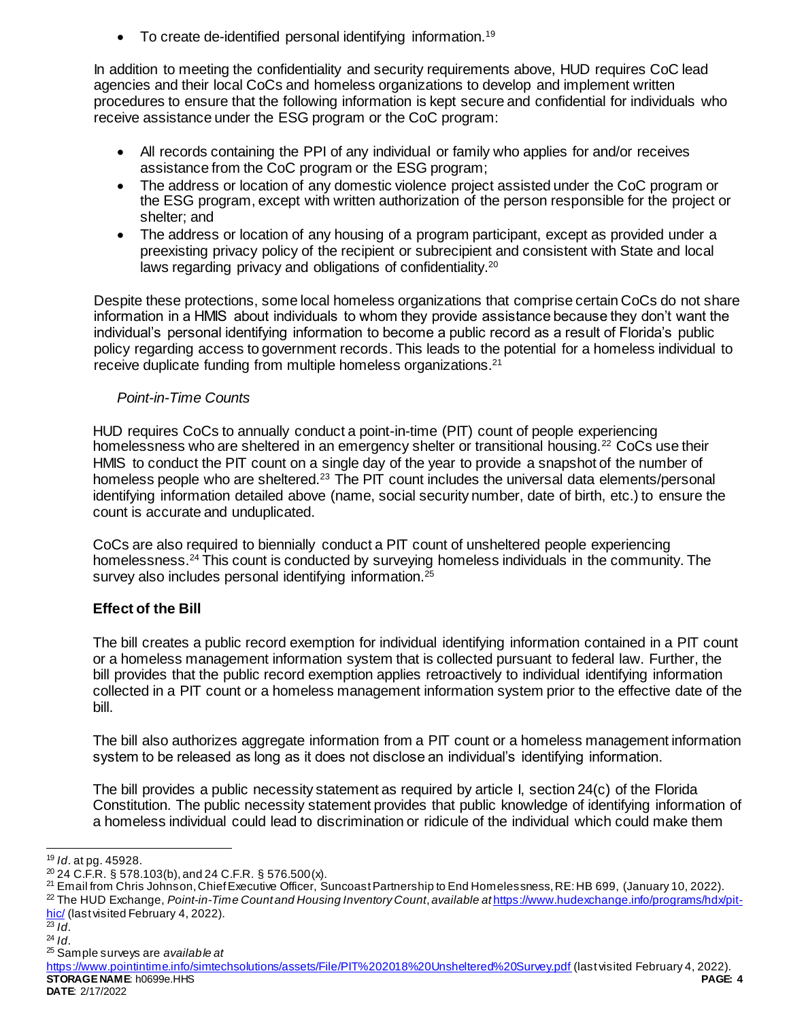$\bullet$  To create de-identified personal identifying information.<sup>19</sup>

In addition to meeting the confidentiality and security requirements above, HUD requires CoC lead agencies and their local CoCs and homeless organizations to develop and implement written procedures to ensure that the following information is kept secure and confidential for individuals who receive assistance under the ESG program or the CoC program:

- All records containing the PPI of any individual or family who applies for and/or receives assistance from the CoC program or the ESG program;
- The address or location of any domestic violence project assisted under the CoC program or the ESG program, except with written authorization of the person responsible for the project or shelter; and
- The address or location of any housing of a program participant, except as provided under a preexisting privacy policy of the recipient or subrecipient and consistent with State and local laws regarding privacy and obligations of confidentiality.<sup>20</sup>

Despite these protections, some local homeless organizations that comprise certain CoCs do not share information in a HMIS about individuals to whom they provide assistance because they don't want the individual's personal identifying information to become a public record as a result of Florida's public policy regarding access to government records. This leads to the potential for a homeless individual to receive duplicate funding from multiple homeless organizations.<sup>21</sup>

# *Point-in-Time Counts*

HUD requires CoCs to annually conduct a point-in-time (PIT) count of people experiencing homelessness who are sheltered in an emergency shelter or transitional housing.<sup>22</sup> CoCs use their HMIS to conduct the PIT count on a single day of the year to provide a snapshot of the number of homeless people who are sheltered.<sup>23</sup> The PIT count includes the universal data elements/personal identifying information detailed above (name, social security number, date of birth, etc.) to ensure the count is accurate and unduplicated.

CoCs are also required to biennially conduct a PIT count of unsheltered people experiencing homelessness.<sup>24</sup> This count is conducted by surveying homeless individuals in the community. The survey also includes personal identifying information.<sup>25</sup>

# **Effect of the Bill**

The bill creates a public record exemption for individual identifying information contained in a PIT count or a homeless management information system that is collected pursuant to federal law. Further, the bill provides that the public record exemption applies retroactively to individual identifying information collected in a PIT count or a homeless management information system prior to the effective date of the bill.

The bill also authorizes aggregate information from a PIT count or a homeless management information system to be released as long as it does not disclose an individual's identifying information.

The bill provides a public necessity statement as required by article I, section 24(c) of the Florida Constitution. The public necessity statement provides that public knowledge of identifying information of a homeless individual could lead to discrimination or ridicule of the individual which could make them

<sup>22</sup> The HUD Exchange, *Point-in-Time Count and Housing Inventory Count*, *available at* [https://www.hudexchange.info/programs/hdx/pit](https://www.hudexchange.info/programs/hdx/pit-hic/)[hic/](https://www.hudexchange.info/programs/hdx/pit-hic/) (last visited February 4, 2022).

 $^{23}$  *Id.* 

l

 $24$  *Id.* 

<sup>19</sup> *Id*. at pg. 45928.

 $^{20}$  24 C.F.R. § 578.103(b), and 24 C.F.R. § 576.500(x).

<sup>21</sup> Email from Chris Johnson, Chief Executive Officer, Suncoast Partnership to End Homelessness, RE: HB 699, (January 10, 2022).

<sup>25</sup> Sample surveys are *available at*

**STORAGE NAME**: h0699e.HHS **PAGE: 4** <https://www.pointintime.info/simtechsolutions/assets/File/PIT%202018%20Unsheltered%20Survey.pdf> (last visited February 4, 2022).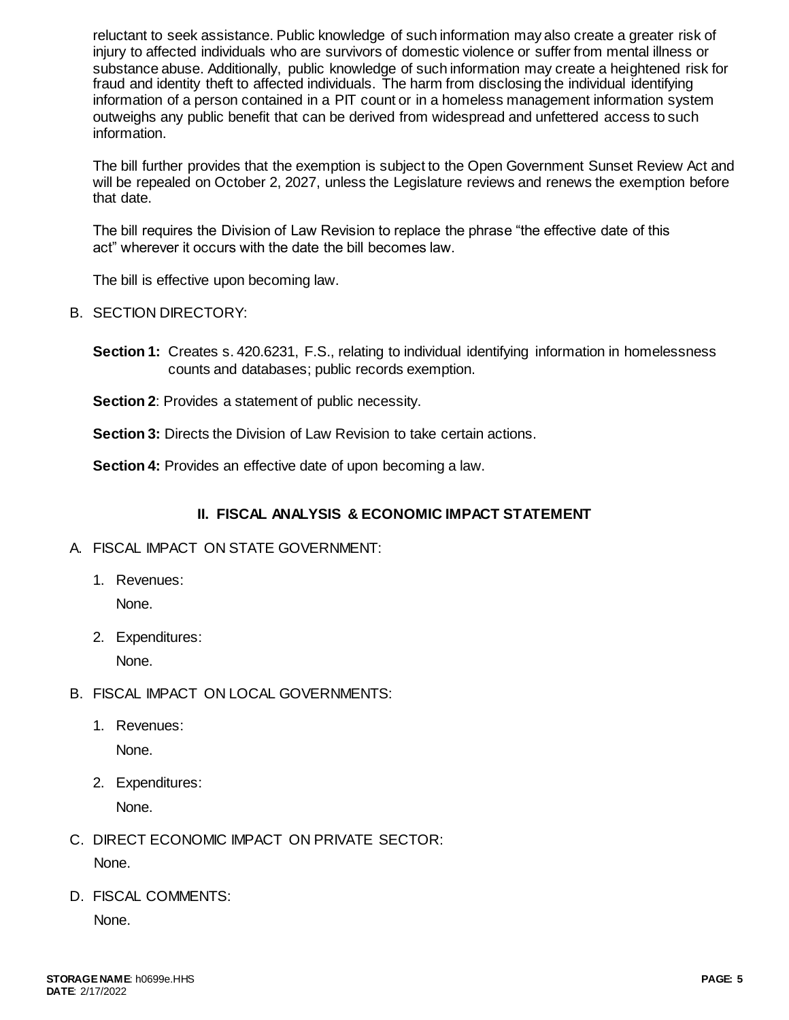reluctant to seek assistance. Public knowledge of such information may also create a greater risk of injury to affected individuals who are survivors of domestic violence or suffer from mental illness or substance abuse. Additionally, public knowledge of such information may create a heightened risk for fraud and identity theft to affected individuals. The harm from disclosing the individual identifying information of a person contained in a PIT count or in a homeless management information system outweighs any public benefit that can be derived from widespread and unfettered access to such information.

The bill further provides that the exemption is subject to the Open Government Sunset Review Act and will be repealed on October 2, 2027, unless the Legislature reviews and renews the exemption before that date.

The bill requires the Division of Law Revision to replace the phrase "the effective date of this act" wherever it occurs with the date the bill becomes law.

The bill is effective upon becoming law.

- B. SECTION DIRECTORY:
	- **Section 1:** Creates s. 420.6231, F.S., relating to individual identifying information in homelessness counts and databases; public records exemption.
	- **Section 2: Provides a statement of public necessity.**

**Section 3:** Directs the Division of Law Revision to take certain actions.

**Section 4:** Provides an effective date of upon becoming a law.

# **II. FISCAL ANALYSIS & ECONOMIC IMPACT STATEMENT**

## A. FISCAL IMPACT ON STATE GOVERNMENT:

1. Revenues:

None.

2. Expenditures:

None.

- B. FISCAL IMPACT ON LOCAL GOVERNMENTS:
	- 1. Revenues: None.
	- 2. Expenditures:

None.

- C. DIRECT ECONOMIC IMPACT ON PRIVATE SECTOR: None.
- D. FISCAL COMMENTS:

None.